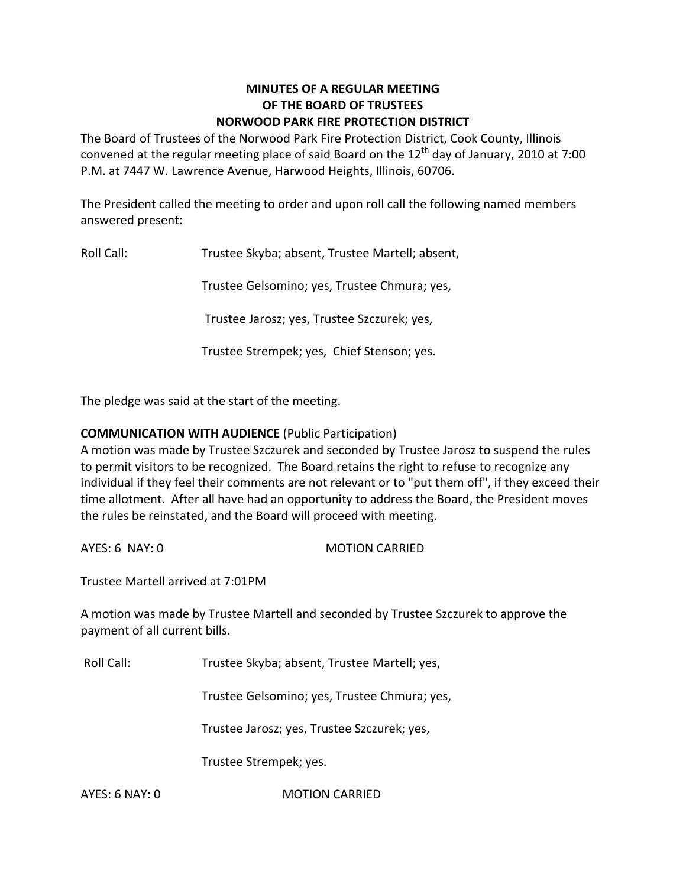## **MINUTES OF A REGULAR MEETING OF THE BOARD OF TRUSTEES NORWOOD PARK FIRE PROTECTION DISTRICT**

The Board of Trustees of the Norwood Park Fire Protection District, Cook County, Illinois convened at the regular meeting place of said Board on the  $12<sup>th</sup>$  day of January, 2010 at 7:00 P.M. at 7447 W. Lawrence Avenue, Harwood Heights, Illinois, 60706.

The President called the meeting to order and upon roll call the following named members answered present:

Roll Call: Trustee Skyba; absent, Trustee Martell; absent,

Trustee Gelsomino; yes, Trustee Chmura; yes,

Trustee Jarosz; yes, Trustee Szczurek; yes,

Trustee Strempek; yes, Chief Stenson; yes.

The pledge was said at the start of the meeting.

# **COMMUNICATION WITH AUDIENCE** (Public Participation)

A motion was made by Trustee Szczurek and seconded by Trustee Jarosz to suspend the rules to permit visitors to be recognized. The Board retains the right to refuse to recognize any individual if they feel their comments are not relevant or to "put them off", if they exceed their time allotment. After all have had an opportunity to address the Board, the President moves the rules be reinstated, and the Board will proceed with meeting.

AYES: 6 NAY: 0 MOTION CARRIED

Trustee Martell arrived at 7:01PM

A motion was made by Trustee Martell and seconded by Trustee Szczurek to approve the payment of all current bills.

Roll Call: Trustee Skyba; absent, Trustee Martell; yes,

Trustee Gelsomino; yes, Trustee Chmura; yes,

Trustee Jarosz; yes, Trustee Szczurek; yes,

Trustee Strempek; yes.

AYES: 6 NAY: 0 MOTION CARRIED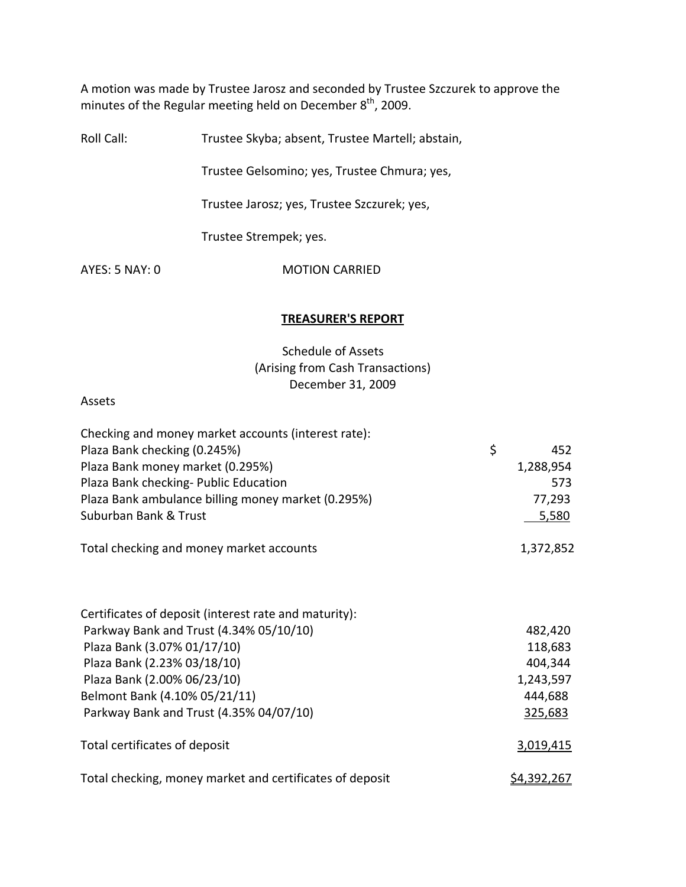A motion was made by Trustee Jarosz and seconded by Trustee Szczurek to approve the minutes of the Regular meeting held on December  $8^{\text{th}}$ , 2009.

Roll Call: Trustee Skyba; absent, Trustee Martell; abstain,

Trustee Gelsomino; yes, Trustee Chmura; yes,

Trustee Jarosz; yes, Trustee Szczurek; yes,

Trustee Strempek; yes.

AYES: 5 NAY: 0 MOTION CARRIED

#### **TREASURER'S REPORT**

Schedule of Assets (Arising from Cash Transactions) December 31, 2009

Assets

| Checking and money market accounts (interest rate):      |                    |
|----------------------------------------------------------|--------------------|
| Plaza Bank checking (0.245%)                             | \$<br>452          |
| Plaza Bank money market (0.295%)                         | 1,288,954          |
| Plaza Bank checking- Public Education                    | 573                |
| Plaza Bank ambulance billing money market (0.295%)       | 77,293             |
| Suburban Bank & Trust                                    | 5,580              |
| Total checking and money market accounts                 | 1,372,852          |
|                                                          |                    |
| Certificates of deposit (interest rate and maturity):    |                    |
| Parkway Bank and Trust (4.34% 05/10/10)                  | 482,420            |
| Plaza Bank (3.07% 01/17/10)                              | 118,683            |
| Plaza Bank (2.23% 03/18/10)                              | 404,344            |
| Plaza Bank (2.00% 06/23/10)                              | 1,243,597          |
| Belmont Bank (4.10% 05/21/11)                            | 444,688            |
| Parkway Bank and Trust (4.35% 04/07/10)                  | 325,683            |
| Total certificates of deposit                            | 3,019,415          |
| Total checking, money market and certificates of deposit | <u>\$4,392,267</u> |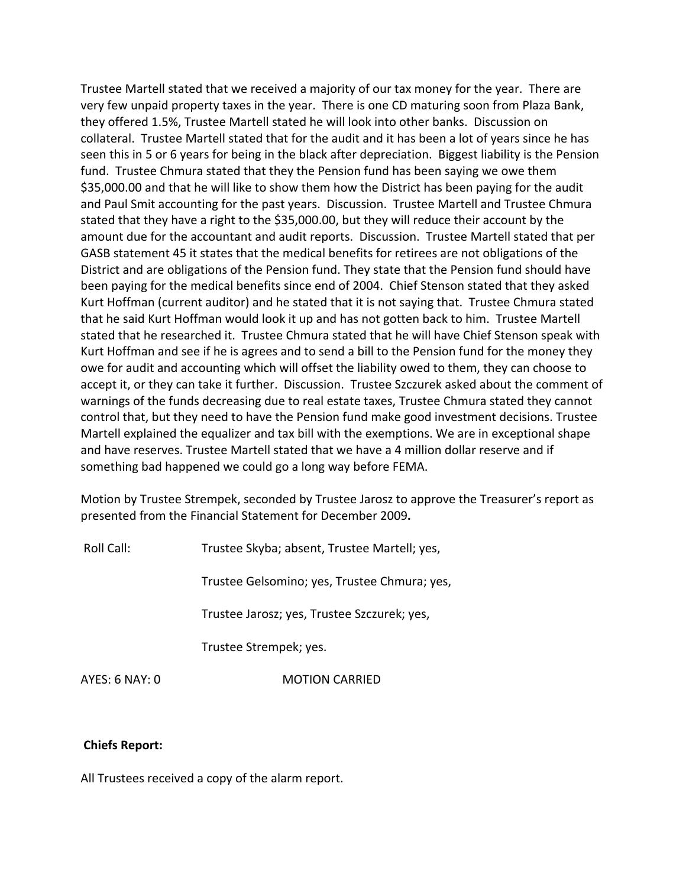Trustee Martell stated that we received a majority of our tax money for the year. There are very few unpaid property taxes in the year. There is one CD maturing soon from Plaza Bank, they offered 1.5%, Trustee Martell stated he will look into other banks. Discussion on collateral. Trustee Martell stated that for the audit and it has been a lot of years since he has seen this in 5 or 6 years for being in the black after depreciation. Biggest liability is the Pension fund. Trustee Chmura stated that they the Pension fund has been saying we owe them \$35,000.00 and that he will like to show them how the District has been paying for the audit and Paul Smit accounting for the past years. Discussion. Trustee Martell and Trustee Chmura stated that they have a right to the \$35,000.00, but they will reduce their account by the amount due for the accountant and audit reports. Discussion. Trustee Martell stated that per GASB statement 45 it states that the medical benefits for retirees are not obligations of the District and are obligations of the Pension fund. They state that the Pension fund should have been paying for the medical benefits since end of 2004. Chief Stenson stated that they asked Kurt Hoffman (current auditor) and he stated that it is not saying that. Trustee Chmura stated that he said Kurt Hoffman would look it up and has not gotten back to him. Trustee Martell stated that he researched it. Trustee Chmura stated that he will have Chief Stenson speak with Kurt Hoffman and see if he is agrees and to send a bill to the Pension fund for the money they owe for audit and accounting which will offset the liability owed to them, they can choose to accept it, or they can take it further. Discussion. Trustee Szczurek asked about the comment of warnings of the funds decreasing due to real estate taxes, Trustee Chmura stated they cannot control that, but they need to have the Pension fund make good investment decisions. Trustee Martell explained the equalizer and tax bill with the exemptions. We are in exceptional shape and have reserves. Trustee Martell stated that we have a 4 million dollar reserve and if something bad happened we could go a long way before FEMA.

Motion by Trustee Strempek, seconded by Trustee Jarosz to approve the Treasurer's report as presented from the Financial Statement for December 2009**.**

Roll Call: Trustee Skyba; absent, Trustee Martell; yes,

Trustee Gelsomino; yes, Trustee Chmura; yes,

Trustee Jarosz; yes, Trustee Szczurek; yes,

Trustee Strempek; yes.

AYES: 6 NAY: 0 **MOTION CARRIED** 

#### **Chiefs Report:**

All Trustees received a copy of the alarm report.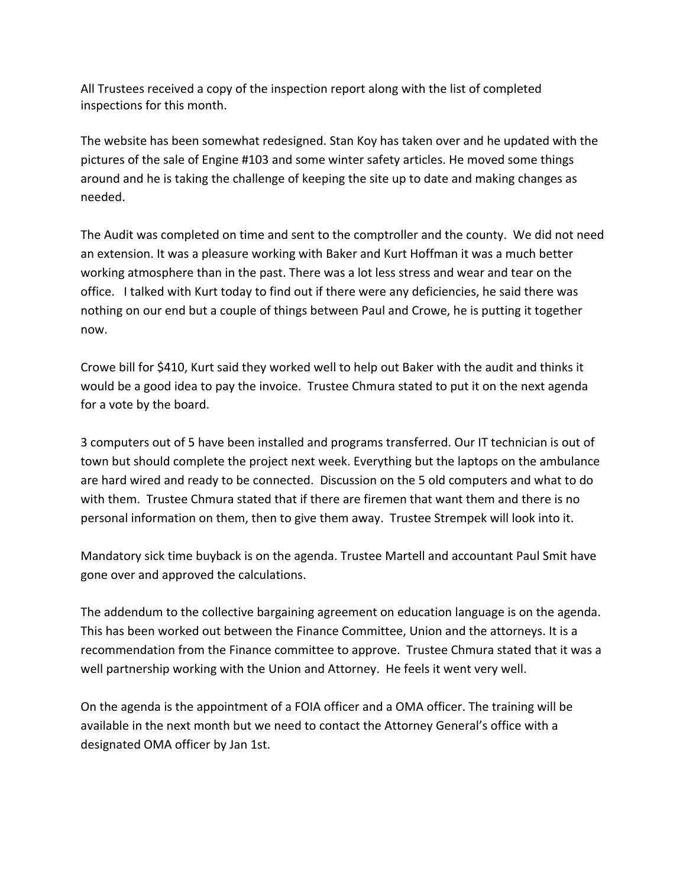All Trustees received a copy of the inspection report along with the list of completed inspections for this month.

The website has been somewhat redesigned. Stan Koy has taken over and he updated with the pictures of the sale of Engine #103 and some winter safety articles. He moved some things around and he is taking the challenge of keeping the site up to date and making changes as needed.

The Audit was completed on time and sent to the comptroller and the county. We did not need an extension. It was a pleasure working with Baker and Kurt Hoffman it was a much better working atmosphere than in the past. There was a lot less stress and wear and tear on the office. I talked with Kurt today to find out if there were any deficiencies, he said there was nothing on our end but a couple of things between Paul and Crowe, he is putting it together now.

Crowe bill for \$410, Kurt said they worked well to help out Baker with the audit and thinks it would be a good idea to pay the invoice. Trustee Chmura stated to put it on the next agenda for a vote by the board.

3 computers out of 5 have been installed and programs transferred. Our IT technician is out of town but should complete the project next week. Everything but the laptops on the ambulance are hard wired and ready to be connected. Discussion on the 5 old computers and what to do with them. Trustee Chmura stated that if there are firemen that want them and there is no personal information on them, then to give them away. Trustee Strempek will look into it.

Mandatory sick time buyback is on the agenda. Trustee Martell and accountant Paul Smit have gone over and approved the calculations.

The addendum to the collective bargaining agreement on education language is on the agenda. This has been worked out between the Finance Committee, Union and the attorneys. It is a recommendation from the Finance committee to approve. Trustee Chmura stated that it was a well partnership working with the Union and Attorney. He feels it went very well.

On the agenda is the appointment of a FOIA officer and a OMA officer. The training will be available in the next month but we need to contact the Attorney General's office with a designated OMA officer by Jan 1st.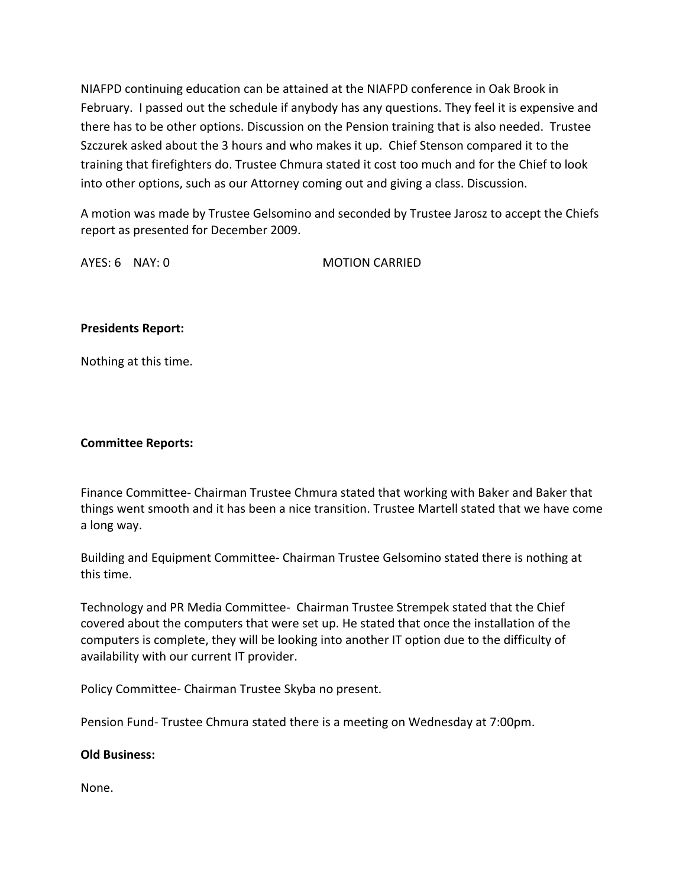NIAFPD continuing education can be attained at the NIAFPD conference in Oak Brook in February. I passed out the schedule if anybody has any questions. They feel it is expensive and there has to be other options. Discussion on the Pension training that is also needed. Trustee Szczurek asked about the 3 hours and who makes it up. Chief Stenson compared it to the training that firefighters do. Trustee Chmura stated it cost too much and for the Chief to look into other options, such as our Attorney coming out and giving a class. Discussion.

A motion was made by Trustee Gelsomino and seconded by Trustee Jarosz to accept the Chiefs report as presented for December 2009.

AYES: 6 NAY: 0 MOTION CARRIED

## **Presidents Report:**

Nothing at this time.

### **Committee Reports:**

Finance Committee‐ Chairman Trustee Chmura stated that working with Baker and Baker that things went smooth and it has been a nice transition. Trustee Martell stated that we have come a long way.

Building and Equipment Committee‐ Chairman Trustee Gelsomino stated there is nothing at this time.

Technology and PR Media Committee‐ Chairman Trustee Strempek stated that the Chief covered about the computers that were set up. He stated that once the installation of the computers is complete, they will be looking into another IT option due to the difficulty of availability with our current IT provider.

Policy Committee‐ Chairman Trustee Skyba no present.

Pension Fund‐ Trustee Chmura stated there is a meeting on Wednesday at 7:00pm.

### **Old Business:**

None.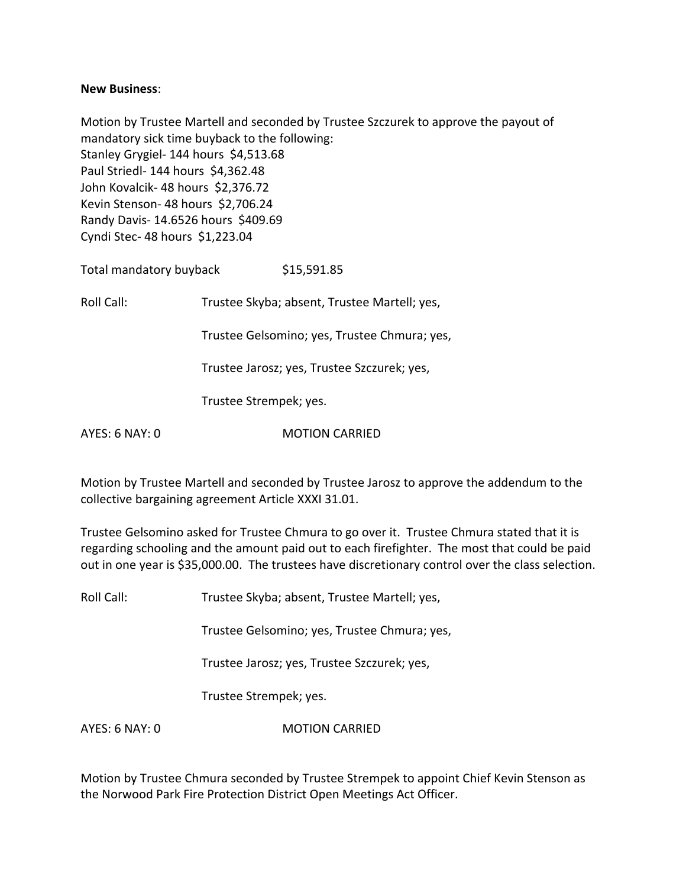### **New Business**:

Motion by Trustee Martell and seconded by Trustee Szczurek to approve the payout of mandatory sick time buyback to the following: Stanley Grygiel- 144 hours \$4,513.68 Paul Striedl‐ 144 hours \$4,362.48 John Kovalcik- 48 hours \$2,376.72 Kevin Stenson- 48 hours \$2,706.24 Randy Davis‐ 14.6526 hours \$409.69 Cyndi Stec‐ 48 hours \$1,223.04

Total mandatory buyback \$15,591.85

Roll Call: Trustee Skyba; absent, Trustee Martell; yes,

Trustee Gelsomino; yes, Trustee Chmura; yes,

Trustee Jarosz; yes, Trustee Szczurek; yes,

Trustee Strempek; yes.

AYES: 6 NAY: 0 MOTION CARRIED

Motion by Trustee Martell and seconded by Trustee Jarosz to approve the addendum to the collective bargaining agreement Article XXXI 31.01.

Trustee Gelsomino asked for Trustee Chmura to go over it. Trustee Chmura stated that it is regarding schooling and the amount paid out to each firefighter. The most that could be paid out in one year is \$35,000.00. The trustees have discretionary control over the class selection.

Roll Call: Trustee Skyba; absent, Trustee Martell; yes,

Trustee Gelsomino; yes, Trustee Chmura; yes,

Trustee Jarosz; yes, Trustee Szczurek; yes,

Trustee Strempek; yes.

AYES: 6 NAY: 0 MOTION CARRIED

Motion by Trustee Chmura seconded by Trustee Strempek to appoint Chief Kevin Stenson as the Norwood Park Fire Protection District Open Meetings Act Officer.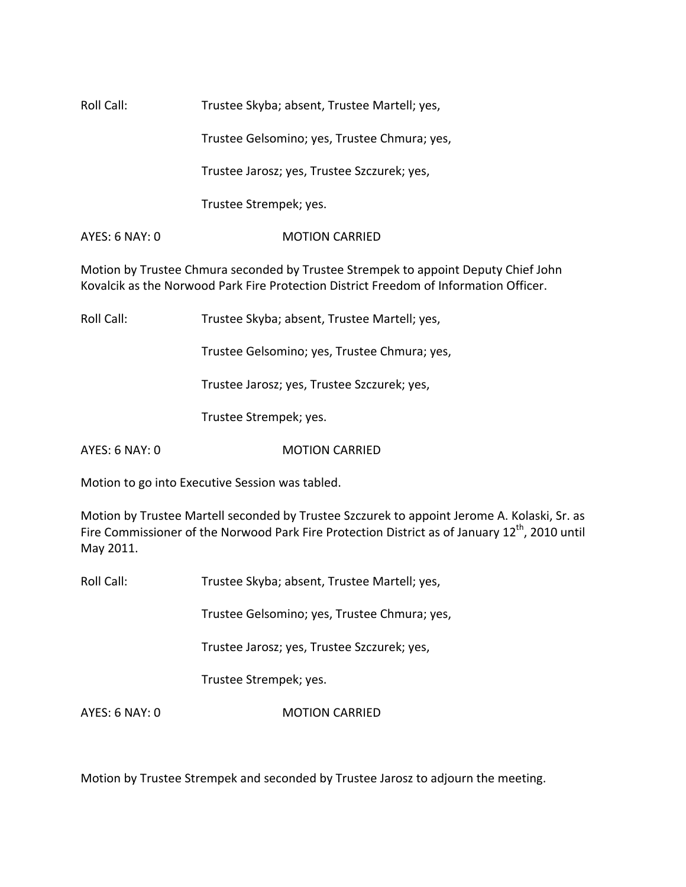Roll Call: Trustee Skyba; absent, Trustee Martell; yes,

Trustee Gelsomino; yes, Trustee Chmura; yes,

Trustee Jarosz; yes, Trustee Szczurek; yes,

Trustee Strempek; yes.

AYES: 6 NAY: 0 **MOTION CARRIED** 

Motion by Trustee Chmura seconded by Trustee Strempek to appoint Deputy Chief John Kovalcik as the Norwood Park Fire Protection District Freedom of Information Officer.

Roll Call: Trustee Skyba; absent, Trustee Martell; yes,

Trustee Gelsomino; yes, Trustee Chmura; yes,

Trustee Jarosz; yes, Trustee Szczurek; yes,

Trustee Strempek; yes.

AYES: 6 NAY: 0 MOTION CARRIED

Motion to go into Executive Session was tabled.

Motion by Trustee Martell seconded by Trustee Szczurek to appoint Jerome A. Kolaski, Sr. as Fire Commissioner of the Norwood Park Fire Protection District as of January 12<sup>th</sup>, 2010 until May 2011.

Roll Call: Trustee Skyba; absent, Trustee Martell; yes,

Trustee Gelsomino; yes, Trustee Chmura; yes,

Trustee Jarosz; yes, Trustee Szczurek; yes,

Trustee Strempek; yes.

AYES: 6 NAY: 0 **MOTION CARRIED** 

Motion by Trustee Strempek and seconded by Trustee Jarosz to adjourn the meeting.